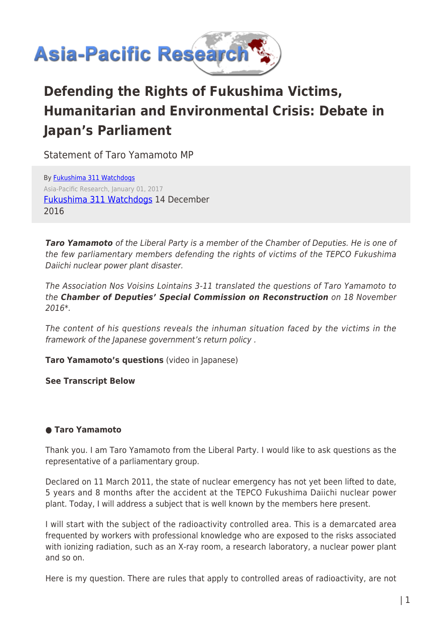

# **Defending the Rights of Fukushima Victims, Humanitarian and Environmental Crisis: Debate in Japan's Parliament**

Statement of Taro Yamamoto MP

By [Fukushima 311 Watchdogs](https://www.asia-pacificresearch.com/author/fukushima-311-watchdogs) Asia-Pacific Research, January 01, 2017 [Fukushima 311 Watchdogs](https://dunrenard.wordpress.com/2016/12/14/taro-yamamoto-defends-fukushima-victims-rights/) 14 December 2016

*Taro Yamamoto* of the Liberal Party is a member of the Chamber of Deputies. He is one of the few parliamentary members defending the rights of victims of the TEPCO Fukushima Daiichi nuclear power plant disaster.

The Association Nos Voisins Lointains 3-11 translated the questions of Taro Yamamoto to the *Chamber of Deputies' Special Commission on Reconstruction* on 18 November 2016\*.

The content of his questions reveals the inhuman situation faced by the victims in the framework of the Japanese government's return policy .

**Taro Yamamoto's questions** (video in Japanese)

**See Transcript Below**

## **● Taro Yamamoto**

Thank you. I am Taro Yamamoto from the Liberal Party. I would like to ask questions as the representative of a parliamentary group.

Declared on 11 March 2011, the state of nuclear emergency has not yet been lifted to date, 5 years and 8 months after the accident at the TEPCO Fukushima Daiichi nuclear power plant. Today, I will address a subject that is well known by the members here present.

I will start with the subject of the radioactivity controlled area. This is a demarcated area frequented by workers with professional knowledge who are exposed to the risks associated with ionizing radiation, such as an X-ray room, a research laboratory, a nuclear power plant and so on.

Here is my question. There are rules that apply to controlled areas of radioactivity, are not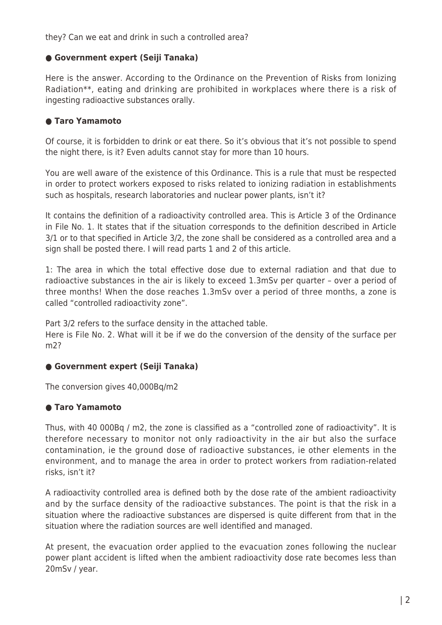they? Can we eat and drink in such a controlled area?

#### **● Government expert (Seiji Tanaka)**

Here is the answer. According to the Ordinance on the Prevention of Risks from Ionizing Radiation\*\*, eating and drinking are prohibited in workplaces where there is a risk of ingesting radioactive substances orally.

## **● Taro Yamamoto**

Of course, it is forbidden to drink or eat there. So it's obvious that it's not possible to spend the night there, is it? Even adults cannot stay for more than 10 hours.

You are well aware of the existence of this Ordinance. This is a rule that must be respected in order to protect workers exposed to risks related to ionizing radiation in establishments such as hospitals, research laboratories and nuclear power plants, isn't it?

It contains the definition of a radioactivity controlled area. This is Article 3 of the Ordinance in File No. 1. It states that if the situation corresponds to the definition described in Article 3/1 or to that specified in Article 3/2, the zone shall be considered as a controlled area and a sign shall be posted there. I will read parts 1 and 2 of this article.

1: The area in which the total effective dose due to external radiation and that due to radioactive substances in the air is likely to exceed 1.3mSv per quarter – over a period of three months! When the dose reaches 1.3mSv over a period of three months, a zone is called "controlled radioactivity zone".

Part 3/2 refers to the surface density in the attached table.

Here is File No. 2. What will it be if we do the conversion of the density of the surface per m2?

## **● Government expert (Seiji Tanaka)**

The conversion gives 40,000Bq/m2

## **● Taro Yamamoto**

Thus, with 40 000Bq / m2, the zone is classified as a "controlled zone of radioactivity". It is therefore necessary to monitor not only radioactivity in the air but also the surface contamination, ie the ground dose of radioactive substances, ie other elements in the environment, and to manage the area in order to protect workers from radiation-related risks, isn't it?

A radioactivity controlled area is defined both by the dose rate of the ambient radioactivity and by the surface density of the radioactive substances. The point is that the risk in a situation where the radioactive substances are dispersed is quite different from that in the situation where the radiation sources are well identified and managed.

At present, the evacuation order applied to the evacuation zones following the nuclear power plant accident is lifted when the ambient radioactivity dose rate becomes less than 20mSv / year.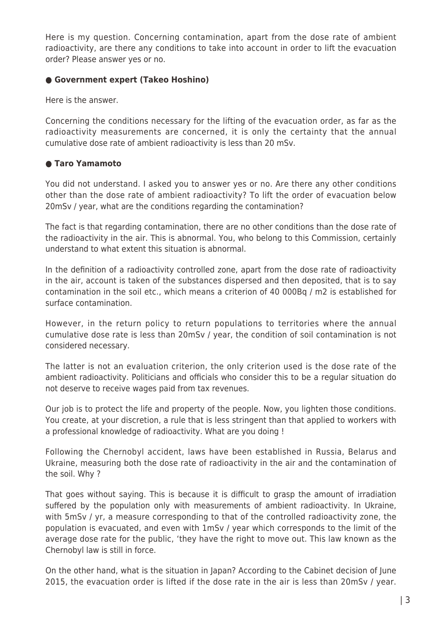Here is my question. Concerning contamination, apart from the dose rate of ambient radioactivity, are there any conditions to take into account in order to lift the evacuation order? Please answer yes or no.

#### **● Government expert (Takeo Hoshino)**

Here is the answer.

Concerning the conditions necessary for the lifting of the evacuation order, as far as the radioactivity measurements are concerned, it is only the certainty that the annual cumulative dose rate of ambient radioactivity is less than 20 mSv.

## **● Taro Yamamoto**

You did not understand. I asked you to answer yes or no. Are there any other conditions other than the dose rate of ambient radioactivity? To lift the order of evacuation below 20mSv / year, what are the conditions regarding the contamination?

The fact is that regarding contamination, there are no other conditions than the dose rate of the radioactivity in the air. This is abnormal. You, who belong to this Commission, certainly understand to what extent this situation is abnormal.

In the definition of a radioactivity controlled zone, apart from the dose rate of radioactivity in the air, account is taken of the substances dispersed and then deposited, that is to say contamination in the soil etc., which means a criterion of 40 000Bq / m2 is established for surface contamination.

However, in the return policy to return populations to territories where the annual cumulative dose rate is less than 20mSv / year, the condition of soil contamination is not considered necessary.

The latter is not an evaluation criterion, the only criterion used is the dose rate of the ambient radioactivity. Politicians and officials who consider this to be a regular situation do not deserve to receive wages paid from tax revenues.

Our job is to protect the life and property of the people. Now, you lighten those conditions. You create, at your discretion, a rule that is less stringent than that applied to workers with a professional knowledge of radioactivity. What are you doing !

Following the Chernobyl accident, laws have been established in Russia, Belarus and Ukraine, measuring both the dose rate of radioactivity in the air and the contamination of the soil. Why ?

That goes without saying. This is because it is difficult to grasp the amount of irradiation suffered by the population only with measurements of ambient radioactivity. In Ukraine, with 5mSv / yr, a measure corresponding to that of the controlled radioactivity zone, the population is evacuated, and even with 1mSv / year which corresponds to the limit of the average dose rate for the public, 'they have the right to move out. This law known as the Chernobyl law is still in force.

On the other hand, what is the situation in Japan? According to the Cabinet decision of June 2015, the evacuation order is lifted if the dose rate in the air is less than 20mSv / year.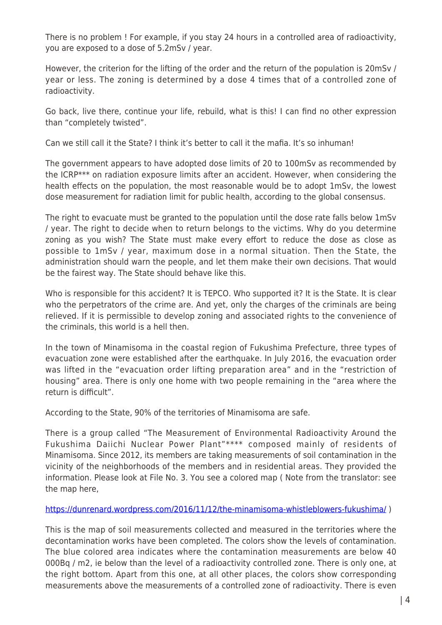There is no problem ! For example, if you stay 24 hours in a controlled area of radioactivity, you are exposed to a dose of 5.2mSv / year.

However, the criterion for the lifting of the order and the return of the population is 20mSv / year or less. The zoning is determined by a dose 4 times that of a controlled zone of radioactivity.

Go back, live there, continue your life, rebuild, what is this! I can find no other expression than "completely twisted".

Can we still call it the State? I think it's better to call it the mafia. It's so inhuman!

The government appears to have adopted dose limits of 20 to 100mSv as recommended by the ICRP\*\*\* on radiation exposure limits after an accident. However, when considering the health effects on the population, the most reasonable would be to adopt 1mSv, the lowest dose measurement for radiation limit for public health, according to the global consensus.

The right to evacuate must be granted to the population until the dose rate falls below 1mSv / year. The right to decide when to return belongs to the victims. Why do you determine zoning as you wish? The State must make every effort to reduce the dose as close as possible to 1mSv / year, maximum dose in a normal situation. Then the State, the administration should warn the people, and let them make their own decisions. That would be the fairest way. The State should behave like this.

Who is responsible for this accident? It is TEPCO. Who supported it? It is the State. It is clear who the perpetrators of the crime are. And yet, only the charges of the criminals are being relieved. If it is permissible to develop zoning and associated rights to the convenience of the criminals, this world is a hell then.

In the town of Minamisoma in the coastal region of Fukushima Prefecture, three types of evacuation zone were established after the earthquake. In July 2016, the evacuation order was lifted in the "evacuation order lifting preparation area" and in the "restriction of housing" area. There is only one home with two people remaining in the "area where the return is difficult".

According to the State, 90% of the territories of Minamisoma are safe.

There is a group called "The Measurement of Environmental Radioactivity Around the Fukushima Daiichi Nuclear Power Plant"\*\*\*\* composed mainly of residents of Minamisoma. Since 2012, its members are taking measurements of soil contamination in the vicinity of the neighborhoods of the members and in residential areas. They provided the information. Please look at File No. 3. You see a colored map ( Note from the translator: see the map here,

## <https://dunrenard.wordpress.com/2016/11/12/the-minamisoma-whistleblowers-fukushima/>)

This is the map of soil measurements collected and measured in the territories where the decontamination works have been completed. The colors show the levels of contamination. The blue colored area indicates where the contamination measurements are below 40 000Bq / m2, ie below than the level of a radioactivity controlled zone. There is only one, at the right bottom. Apart from this one, at all other places, the colors show corresponding measurements above the measurements of a controlled zone of radioactivity. There is even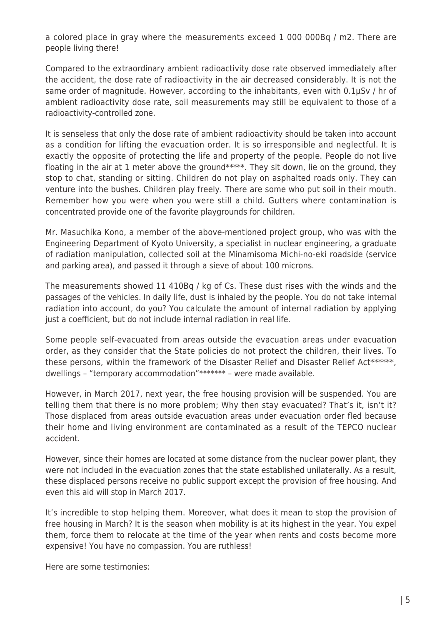a colored place in gray where the measurements exceed 1 000 000Bq / m2. There are people living there!

Compared to the extraordinary ambient radioactivity dose rate observed immediately after the accident, the dose rate of radioactivity in the air decreased considerably. It is not the same order of magnitude. However, according to the inhabitants, even with 0.1μSv / hr of ambient radioactivity dose rate, soil measurements may still be equivalent to those of a radioactivity-controlled zone.

It is senseless that only the dose rate of ambient radioactivity should be taken into account as a condition for lifting the evacuation order. It is so irresponsible and neglectful. It is exactly the opposite of protecting the life and property of the people. People do not live floating in the air at 1 meter above the ground\*\*\*\*\*. They sit down, lie on the ground, they stop to chat, standing or sitting. Children do not play on asphalted roads only. They can venture into the bushes. Children play freely. There are some who put soil in their mouth. Remember how you were when you were still a child. Gutters where contamination is concentrated provide one of the favorite playgrounds for children.

Mr. Masuchika Kono, a member of the above-mentioned project group, who was with the Engineering Department of Kyoto University, a specialist in nuclear engineering, a graduate of radiation manipulation, collected soil at the Minamisoma Michi-no-eki roadside (service and parking area), and passed it through a sieve of about 100 microns.

The measurements showed 11 410Bq / kg of Cs. These dust rises with the winds and the passages of the vehicles. In daily life, dust is inhaled by the people. You do not take internal radiation into account, do you? You calculate the amount of internal radiation by applying just a coefficient, but do not include internal radiation in real life.

Some people self-evacuated from areas outside the evacuation areas under evacuation order, as they consider that the State policies do not protect the children, their lives. To these persons, within the framework of the Disaster Relief and Disaster Relief Act\*\*\*\*\*\*, dwellings – "temporary accommodation"\*\*\*\*\*\*\* – were made available.

However, in March 2017, next year, the free housing provision will be suspended. You are telling them that there is no more problem; Why then stay evacuated? That's it, isn't it? Those displaced from areas outside evacuation areas under evacuation order fled because their home and living environment are contaminated as a result of the TEPCO nuclear accident.

However, since their homes are located at some distance from the nuclear power plant, they were not included in the evacuation zones that the state established unilaterally. As a result, these displaced persons receive no public support except the provision of free housing. And even this aid will stop in March 2017.

It's incredible to stop helping them. Moreover, what does it mean to stop the provision of free housing in March? It is the season when mobility is at its highest in the year. You expel them, force them to relocate at the time of the year when rents and costs become more expensive! You have no compassion. You are ruthless!

Here are some testimonies: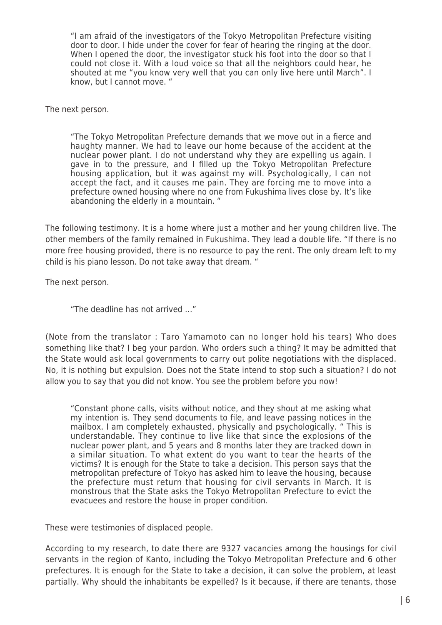"I am afraid of the investigators of the Tokyo Metropolitan Prefecture visiting door to door. I hide under the cover for fear of hearing the ringing at the door. When I opened the door, the investigator stuck his foot into the door so that I could not close it. With a loud voice so that all the neighbors could hear, he shouted at me "you know very well that you can only live here until March". I know, but I cannot move. "

The next person.

"The Tokyo Metropolitan Prefecture demands that we move out in a fierce and haughty manner. We had to leave our home because of the accident at the nuclear power plant. I do not understand why they are expelling us again. I gave in to the pressure, and I filled up the Tokyo Metropolitan Prefecture housing application, but it was against my will. Psychologically, I can not accept the fact, and it causes me pain. They are forcing me to move into a prefecture owned housing where no one from Fukushima lives close by. It's like abandoning the elderly in a mountain. "

The following testimony. It is a home where just a mother and her young children live. The other members of the family remained in Fukushima. They lead a double life. "If there is no more free housing provided, there is no resource to pay the rent. The only dream left to my child is his piano lesson. Do not take away that dream. "

The next person.

"The deadline has not arrived …"

(Note from the translator : Taro Yamamoto can no longer hold his tears) Who does something like that? I beg your pardon. Who orders such a thing? It may be admitted that the State would ask local governments to carry out polite negotiations with the displaced. No, it is nothing but expulsion. Does not the State intend to stop such a situation? I do not allow you to say that you did not know. You see the problem before you now!

"Constant phone calls, visits without notice, and they shout at me asking what my intention is. They send documents to file, and leave passing notices in the mailbox. I am completely exhausted, physically and psychologically. " This is understandable. They continue to live like that since the explosions of the nuclear power plant, and 5 years and 8 months later they are tracked down in a similar situation. To what extent do you want to tear the hearts of the victims? It is enough for the State to take a decision. This person says that the metropolitan prefecture of Tokyo has asked him to leave the housing, because the prefecture must return that housing for civil servants in March. It is monstrous that the State asks the Tokyo Metropolitan Prefecture to evict the evacuees and restore the house in proper condition.

These were testimonies of displaced people.

According to my research, to date there are 9327 vacancies among the housings for civil servants in the region of Kanto, including the Tokyo Metropolitan Prefecture and 6 other prefectures. It is enough for the State to take a decision, it can solve the problem, at least partially. Why should the inhabitants be expelled? Is it because, if there are tenants, those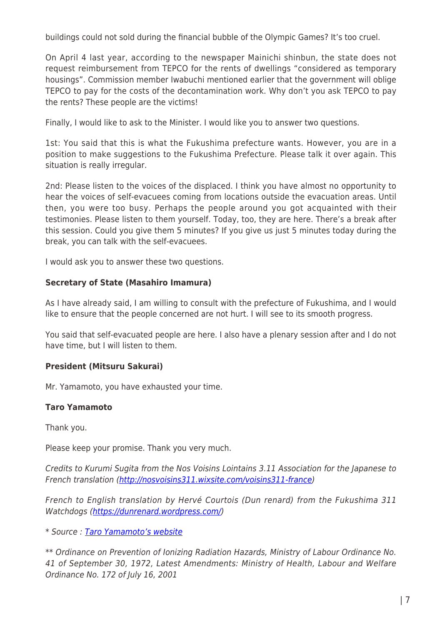buildings could not sold during the financial bubble of the Olympic Games? It's too cruel.

On April 4 last year, according to the newspaper Mainichi shinbun, the state does not request reimbursement from TEPCO for the rents of dwellings "considered as temporary housings". Commission member Iwabuchi mentioned earlier that the government will oblige TEPCO to pay for the costs of the decontamination work. Why don't you ask TEPCO to pay the rents? These people are the victims!

Finally, I would like to ask to the Minister. I would like you to answer two questions.

1st: You said that this is what the Fukushima prefecture wants. However, you are in a position to make suggestions to the Fukushima Prefecture. Please talk it over again. This situation is really irregular.

2nd: Please listen to the voices of the displaced. I think you have almost no opportunity to hear the voices of self-evacuees coming from locations outside the evacuation areas. Until then, you were too busy. Perhaps the people around you got acquainted with their testimonies. Please listen to them yourself. Today, too, they are here. There's a break after this session. Could you give them 5 minutes? If you give us just 5 minutes today during the break, you can talk with the self-evacuees.

I would ask you to answer these two questions.

#### **Secretary of State (Masahiro Imamura)**

As I have already said, I am willing to consult with the prefecture of Fukushima, and I would like to ensure that the people concerned are not hurt. I will see to its smooth progress.

You said that self-evacuated people are here. I also have a plenary session after and I do not have time, but I will listen to them.

## **President (Mitsuru Sakurai)**

Mr. Yamamoto, you have exhausted your time.

## **Taro Yamamoto**

Thank you.

Please keep your promise. Thank you very much.

Credits to Kurumi Sugita from the Nos Voisins Lointains 3.11 Association for the Japanese to French translation (<http://nosvoisins311.wixsite.com/voisins311-france>)

French to English translation by Hervé Courtois (Dun renard) from the Fukushima 311 Watchdogs ([https://dunrenard.wordpress.com/\)](https://dunrenard.wordpress.com/)

\* Source : [Taro Yamamoto's website](https://www.taro-yamamoto.jp/national-diet/6206)

\*\* Ordinance on Prevention of Ionizing Radiation Hazards, Ministry of Labour Ordinance No. 41 of September 30, 1972, Latest Amendments: Ministry of Health, Labour and Welfare Ordinance No. 172 of July 16, 2001